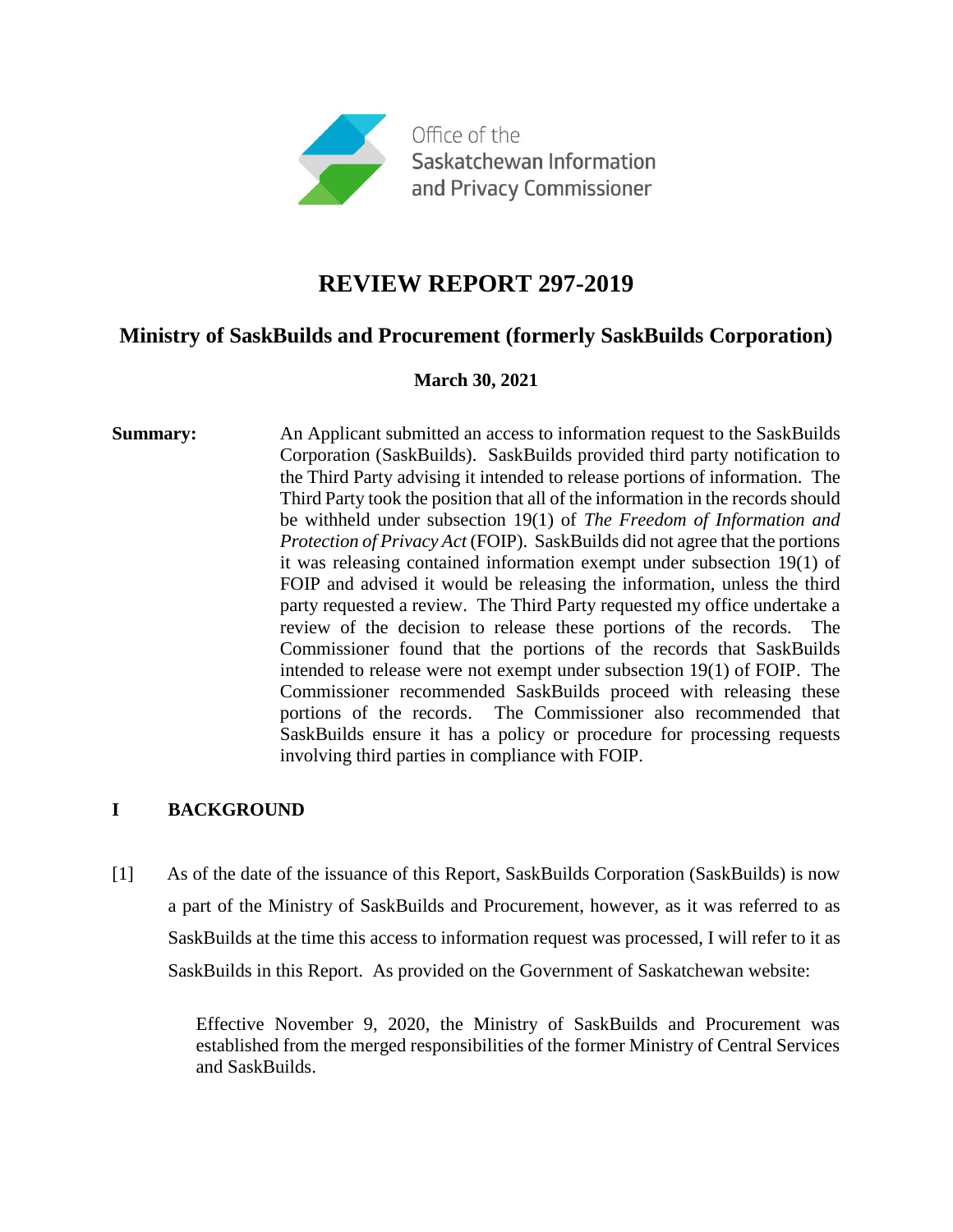

# **REVIEW REPORT 297-2019**

# **Ministry of SaskBuilds and Procurement (formerly SaskBuilds Corporation)**

# **March 30, 2021**

**Summary:** An Applicant submitted an access to information request to the SaskBuilds Corporation (SaskBuilds). SaskBuilds provided third party notification to the Third Party advising it intended to release portions of information. The Third Party took the position that all of the information in the records should be withheld under subsection 19(1) of *The Freedom of Information and Protection of Privacy Act* (FOIP). SaskBuilds did not agree that the portions it was releasing contained information exempt under subsection 19(1) of FOIP and advised it would be releasing the information, unless the third party requested a review. The Third Party requested my office undertake a review of the decision to release these portions of the records. The Commissioner found that the portions of the records that SaskBuilds intended to release were not exempt under subsection 19(1) of FOIP. The Commissioner recommended SaskBuilds proceed with releasing these portions of the records. The Commissioner also recommended that SaskBuilds ensure it has a policy or procedure for processing requests involving third parties in compliance with FOIP.

# **I BACKGROUND**

[1] As of the date of the issuance of this Report, SaskBuilds Corporation (SaskBuilds) is now a part of the Ministry of SaskBuilds and Procurement, however, as it was referred to as SaskBuilds at the time this access to information request was processed, I will refer to it as SaskBuilds in this Report. As provided on the Government of Saskatchewan website:

> Effective November 9, 2020, the Ministry of SaskBuilds and Procurement was established from the merged responsibilities of the former Ministry of Central Services and SaskBuilds.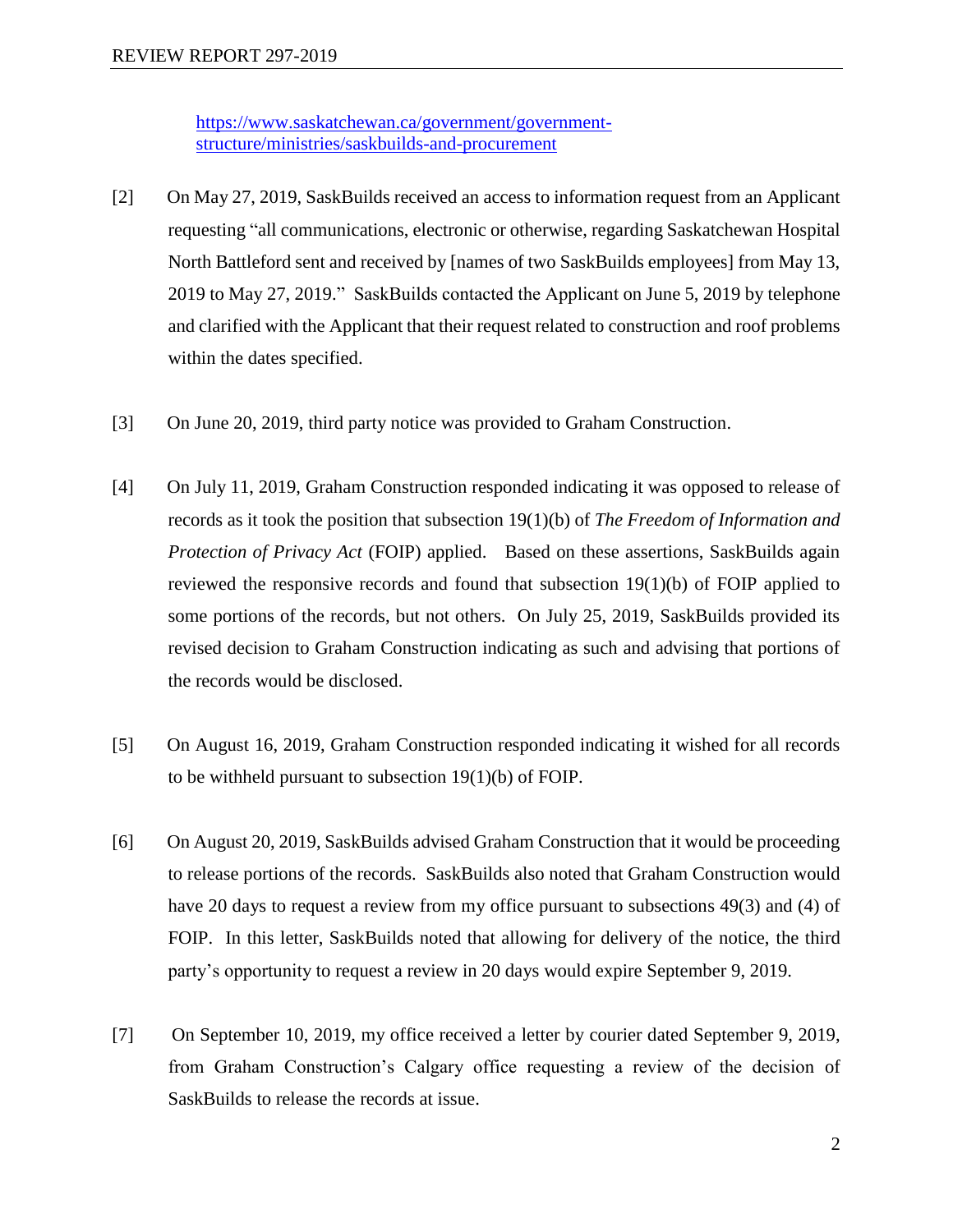[https://www.saskatchewan.ca/government/government](https://www.saskatchewan.ca/government/government-structure/ministries/saskbuilds-and-procurement)[structure/ministries/saskbuilds-and-procurement](https://www.saskatchewan.ca/government/government-structure/ministries/saskbuilds-and-procurement)

- [2] On May 27, 2019, SaskBuilds received an access to information request from an Applicant requesting "all communications, electronic or otherwise, regarding Saskatchewan Hospital North Battleford sent and received by [names of two SaskBuilds employees] from May 13, 2019 to May 27, 2019." SaskBuilds contacted the Applicant on June 5, 2019 by telephone and clarified with the Applicant that their request related to construction and roof problems within the dates specified.
- [3] On June 20, 2019, third party notice was provided to Graham Construction.
- [4] On July 11, 2019, Graham Construction responded indicating it was opposed to release of records as it took the position that subsection 19(1)(b) of *The Freedom of Information and Protection of Privacy Act* (FOIP) applied. Based on these assertions, SaskBuilds again reviewed the responsive records and found that subsection 19(1)(b) of FOIP applied to some portions of the records, but not others. On July 25, 2019, SaskBuilds provided its revised decision to Graham Construction indicating as such and advising that portions of the records would be disclosed.
- [5] On August 16, 2019, Graham Construction responded indicating it wished for all records to be withheld pursuant to subsection 19(1)(b) of FOIP.
- [6] On August 20, 2019, SaskBuilds advised Graham Construction that it would be proceeding to release portions of the records. SaskBuilds also noted that Graham Construction would have 20 days to request a review from my office pursuant to subsections 49(3) and (4) of FOIP. In this letter, SaskBuilds noted that allowing for delivery of the notice, the third party's opportunity to request a review in 20 days would expire September 9, 2019.
- [7] On September 10, 2019, my office received a letter by courier dated September 9, 2019, from Graham Construction's Calgary office requesting a review of the decision of SaskBuilds to release the records at issue.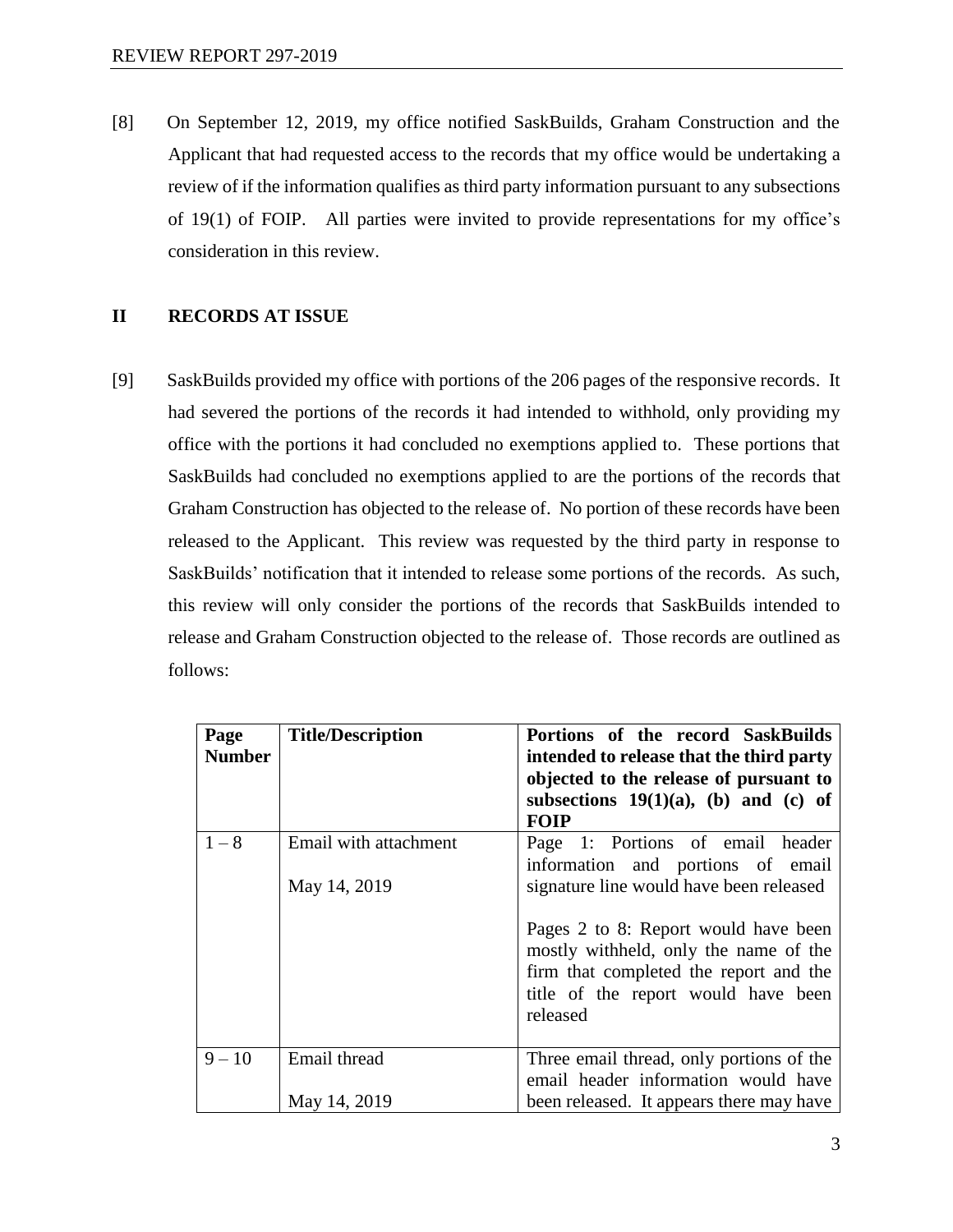[8] On September 12, 2019, my office notified SaskBuilds, Graham Construction and the Applicant that had requested access to the records that my office would be undertaking a review of if the information qualifies as third party information pursuant to any subsections of 19(1) of FOIP. All parties were invited to provide representations for my office's consideration in this review.

# **II RECORDS AT ISSUE**

[9] SaskBuilds provided my office with portions of the 206 pages of the responsive records. It had severed the portions of the records it had intended to withhold, only providing my office with the portions it had concluded no exemptions applied to. These portions that SaskBuilds had concluded no exemptions applied to are the portions of the records that Graham Construction has objected to the release of. No portion of these records have been released to the Applicant. This review was requested by the third party in response to SaskBuilds' notification that it intended to release some portions of the records. As such, this review will only consider the portions of the records that SaskBuilds intended to release and Graham Construction objected to the release of. Those records are outlined as follows:

| Page<br><b>Number</b> | <b>Title/Description</b>              | Portions of the record SaskBuilds<br>intended to release that the third party<br>objected to the release of pursuant to<br>subsections $19(1)(a)$ , (b) and (c) of         |
|-----------------------|---------------------------------------|----------------------------------------------------------------------------------------------------------------------------------------------------------------------------|
|                       |                                       | FOIP                                                                                                                                                                       |
| $1 - 8$               | Email with attachment<br>May 14, 2019 | Page 1: Portions of email header<br>information and portions of email<br>signature line would have been released                                                           |
|                       |                                       | Pages 2 to 8: Report would have been<br>mostly withheld, only the name of the<br>firm that completed the report and the<br>title of the report would have been<br>released |
| $9 - 10$              | Email thread                          | Three email thread, only portions of the                                                                                                                                   |
|                       |                                       | email header information would have                                                                                                                                        |
|                       | May 14, 2019                          | been released. It appears there may have                                                                                                                                   |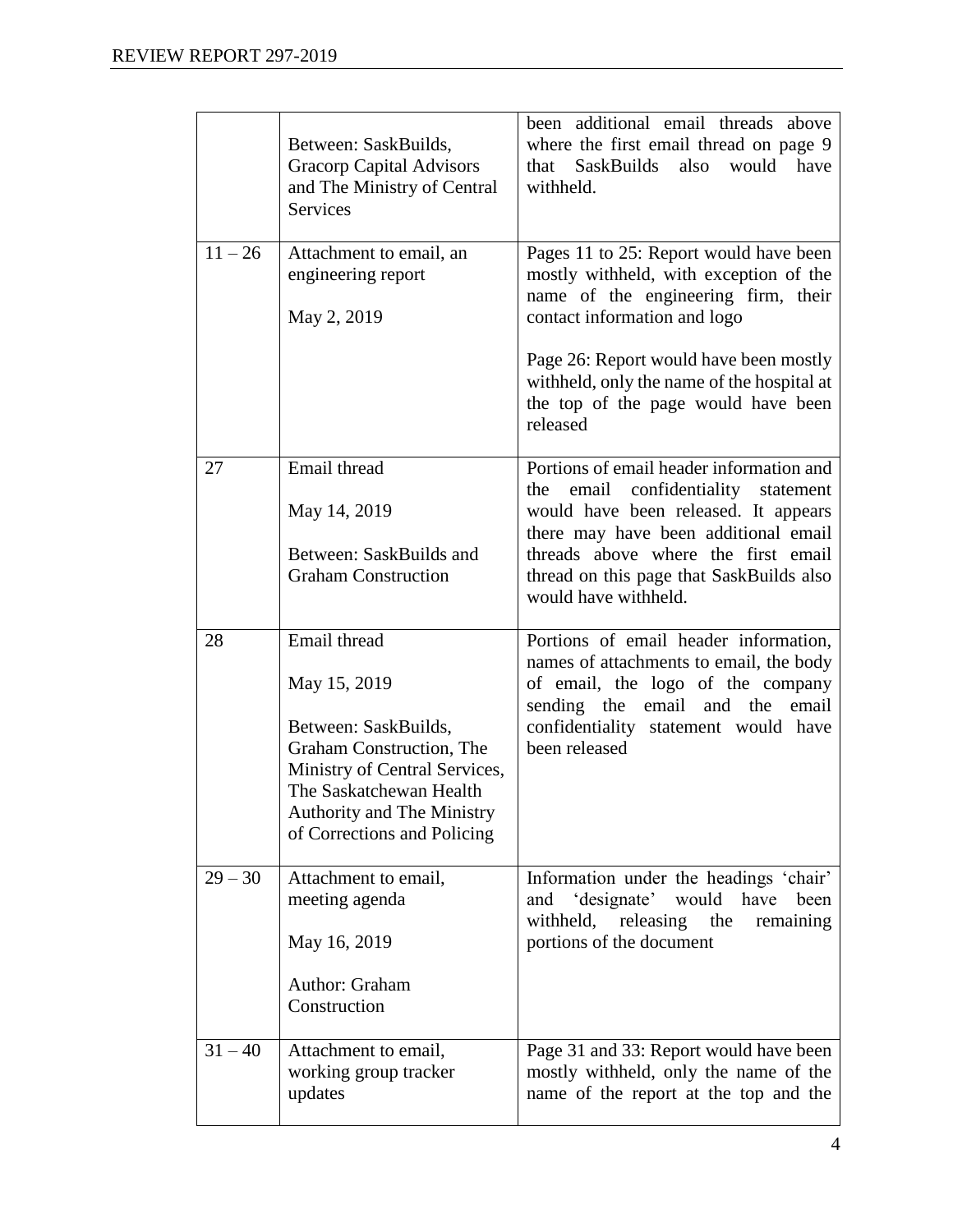|           | Between: SaskBuilds,<br><b>Gracorp Capital Advisors</b><br>and The Ministry of Central<br><b>Services</b>                                                                                                 | been additional email threads above<br>where the first email thread on page 9<br>also<br>that<br><b>SaskBuilds</b><br>would<br>have<br>withheld.                                                                                                                              |
|-----------|-----------------------------------------------------------------------------------------------------------------------------------------------------------------------------------------------------------|-------------------------------------------------------------------------------------------------------------------------------------------------------------------------------------------------------------------------------------------------------------------------------|
| $11 - 26$ | Attachment to email, an<br>engineering report<br>May 2, 2019                                                                                                                                              | Pages 11 to 25: Report would have been<br>mostly withheld, with exception of the<br>name of the engineering firm, their<br>contact information and logo                                                                                                                       |
|           |                                                                                                                                                                                                           | Page 26: Report would have been mostly<br>withheld, only the name of the hospital at<br>the top of the page would have been<br>released                                                                                                                                       |
| 27        | Email thread<br>May 14, 2019<br>Between: SaskBuilds and<br><b>Graham Construction</b>                                                                                                                     | Portions of email header information and<br>email confidentiality statement<br>the<br>would have been released. It appears<br>there may have been additional email<br>threads above where the first email<br>thread on this page that SaskBuilds also<br>would have withheld. |
| 28        | Email thread<br>May 15, 2019<br>Between: SaskBuilds,<br>Graham Construction, The<br>Ministry of Central Services,<br>The Saskatchewan Health<br>Authority and The Ministry<br>of Corrections and Policing | Portions of email header information,<br>names of attachments to email, the body<br>of email, the logo of the company<br>sending the email and the<br>email<br>confidentiality statement would have<br>been released                                                          |
| $29 - 30$ | Attachment to email,<br>meeting agenda<br>May 16, 2019<br>Author: Graham<br>Construction                                                                                                                  | Information under the headings 'chair'<br>and 'designate' would have<br>been<br>withheld,<br>releasing<br>the<br>remaining<br>portions of the document                                                                                                                        |
| $31 - 40$ | Attachment to email,<br>working group tracker<br>updates                                                                                                                                                  | Page 31 and 33: Report would have been<br>mostly withheld, only the name of the<br>name of the report at the top and the                                                                                                                                                      |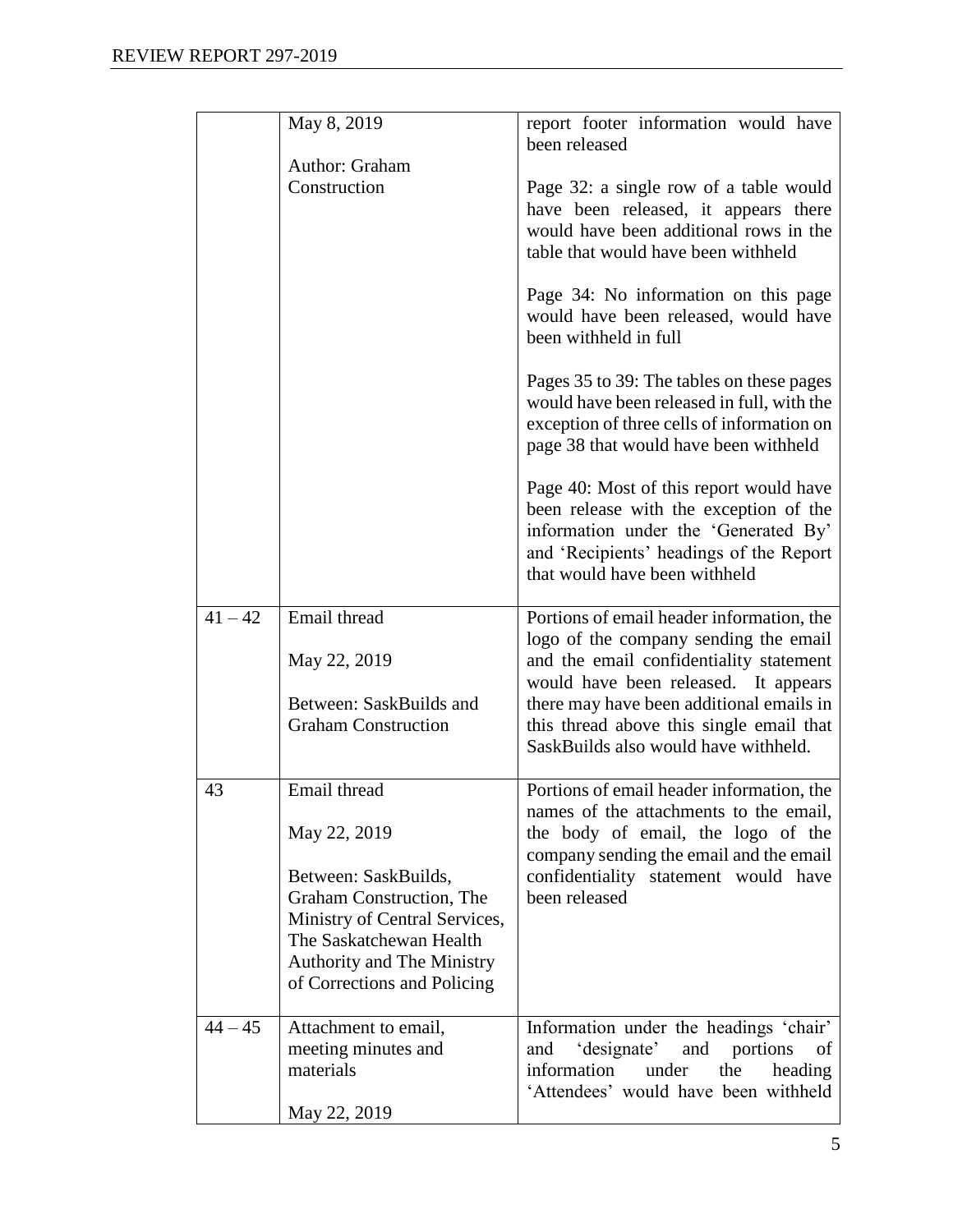|           | May 8, 2019                                                                                                                                                                                                      | report footer information would have<br>been released                                                                                                                                                                                                                                                 |
|-----------|------------------------------------------------------------------------------------------------------------------------------------------------------------------------------------------------------------------|-------------------------------------------------------------------------------------------------------------------------------------------------------------------------------------------------------------------------------------------------------------------------------------------------------|
|           | Author: Graham<br>Construction                                                                                                                                                                                   | Page 32: a single row of a table would<br>have been released, it appears there<br>would have been additional rows in the<br>table that would have been withheld                                                                                                                                       |
|           |                                                                                                                                                                                                                  | Page 34: No information on this page<br>would have been released, would have<br>been withheld in full                                                                                                                                                                                                 |
|           |                                                                                                                                                                                                                  | Pages 35 to 39: The tables on these pages<br>would have been released in full, with the<br>exception of three cells of information on<br>page 38 that would have been withheld                                                                                                                        |
|           |                                                                                                                                                                                                                  | Page 40: Most of this report would have<br>been release with the exception of the<br>information under the 'Generated By'<br>and 'Recipients' headings of the Report<br>that would have been withheld                                                                                                 |
| $41 - 42$ | Email thread<br>May 22, 2019<br>Between: SaskBuilds and<br><b>Graham Construction</b>                                                                                                                            | Portions of email header information, the<br>logo of the company sending the email<br>and the email confidentiality statement<br>would have been released. It appears<br>there may have been additional emails in<br>this thread above this single email that<br>SaskBuilds also would have withheld. |
| 43        | Email thread<br>May 22, 2019<br>Between: SaskBuilds,<br>Graham Construction, The<br>Ministry of Central Services,<br>The Saskatchewan Health<br><b>Authority and The Ministry</b><br>of Corrections and Policing | Portions of email header information, the<br>names of the attachments to the email,<br>the body of email, the logo of the<br>company sending the email and the email<br>confidentiality statement would have<br>been released                                                                         |
| $44 - 45$ | Attachment to email,<br>meeting minutes and<br>materials<br>May 22, 2019                                                                                                                                         | Information under the headings 'chair'<br>'designate'<br>portions<br>and<br>and<br>of<br>information<br>under<br>the<br>heading<br>'Attendees' would have been withheld                                                                                                                               |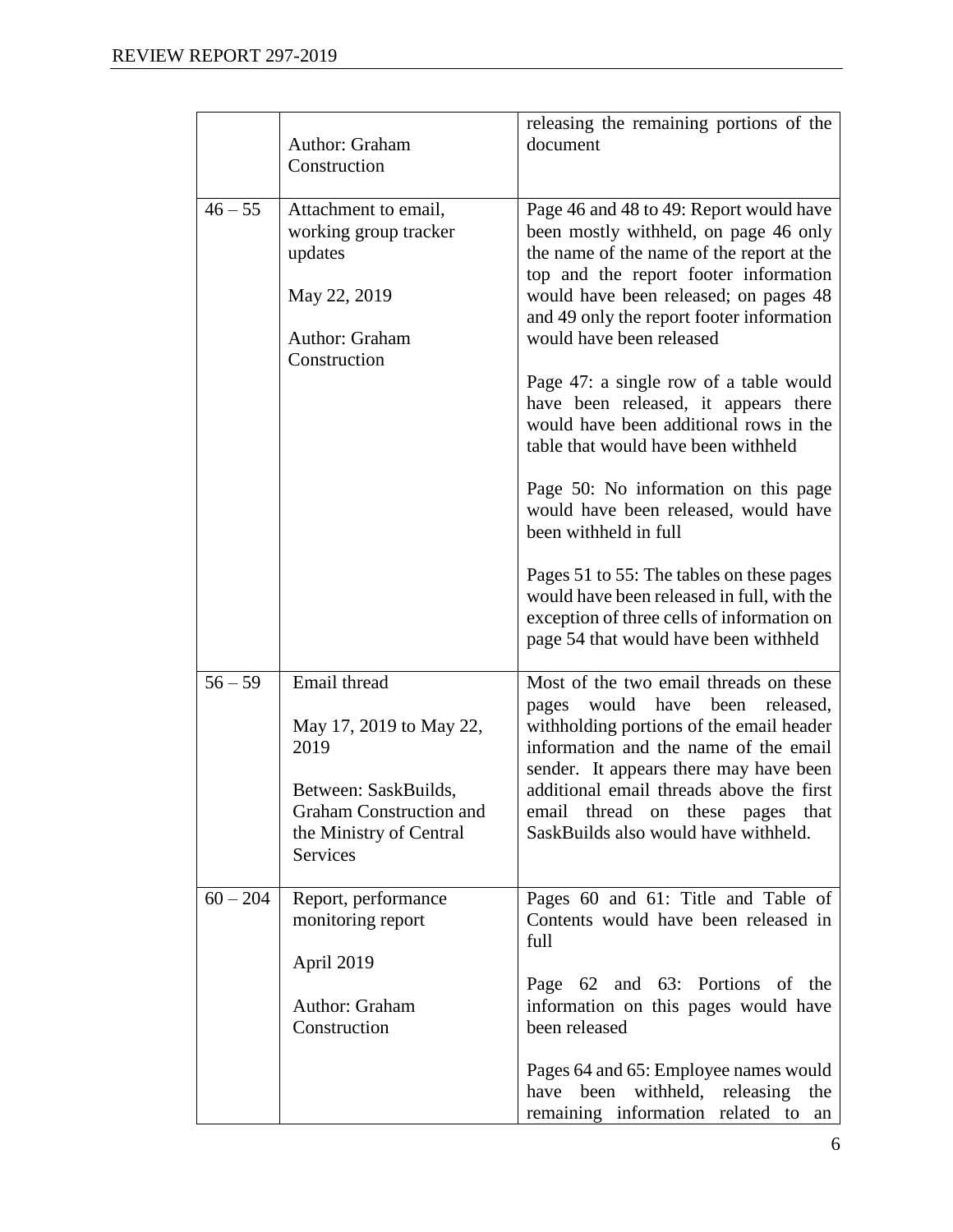|            |                                                    | releasing the remaining portions of the                                            |
|------------|----------------------------------------------------|------------------------------------------------------------------------------------|
|            | Author: Graham                                     | document                                                                           |
|            | Construction                                       |                                                                                    |
| $46 - 55$  |                                                    |                                                                                    |
|            | Attachment to email,<br>working group tracker      | Page 46 and 48 to 49: Report would have<br>been mostly withheld, on page 46 only   |
|            | updates                                            | the name of the name of the report at the                                          |
|            |                                                    | top and the report footer information                                              |
|            | May 22, 2019                                       | would have been released; on pages 48<br>and 49 only the report footer information |
|            | Author: Graham<br>Construction                     | would have been released                                                           |
|            |                                                    | Page 47: a single row of a table would                                             |
|            |                                                    | have been released, it appears there                                               |
|            |                                                    | would have been additional rows in the<br>table that would have been withheld      |
|            |                                                    | Page 50: No information on this page                                               |
|            |                                                    | would have been released, would have<br>been withheld in full                      |
|            |                                                    | Pages 51 to 55: The tables on these pages                                          |
|            |                                                    | would have been released in full, with the                                         |
|            |                                                    | exception of three cells of information on                                         |
|            |                                                    | page 54 that would have been withheld                                              |
| $56 - 59$  | Email thread                                       | Most of the two email threads on these                                             |
|            |                                                    | would have been released,<br>pages                                                 |
|            | May 17, 2019 to May 22,                            | withholding portions of the email header                                           |
|            | 2019                                               | information and the name of the email                                              |
|            |                                                    | sender. It appears there may have been                                             |
|            | Between: SaskBuilds,                               | additional email threads above the first                                           |
|            | Graham Construction and<br>the Ministry of Central | email<br>thread<br>on these pages<br>that<br>SaskBuilds also would have withheld.  |
|            | Services                                           |                                                                                    |
|            |                                                    |                                                                                    |
| $60 - 204$ | Report, performance                                | Pages 60 and 61: Title and Table of                                                |
|            | monitoring report                                  | Contents would have been released in                                               |
|            |                                                    | full                                                                               |
|            | April 2019                                         | Page 62 and 63: Portions of the                                                    |
|            | Author: Graham                                     | information on this pages would have                                               |
|            | Construction                                       | been released                                                                      |
|            |                                                    | Pages 64 and 65: Employee names would                                              |
|            |                                                    | withheld, releasing<br>have<br>been<br>the                                         |
|            |                                                    | remaining information related to<br>an                                             |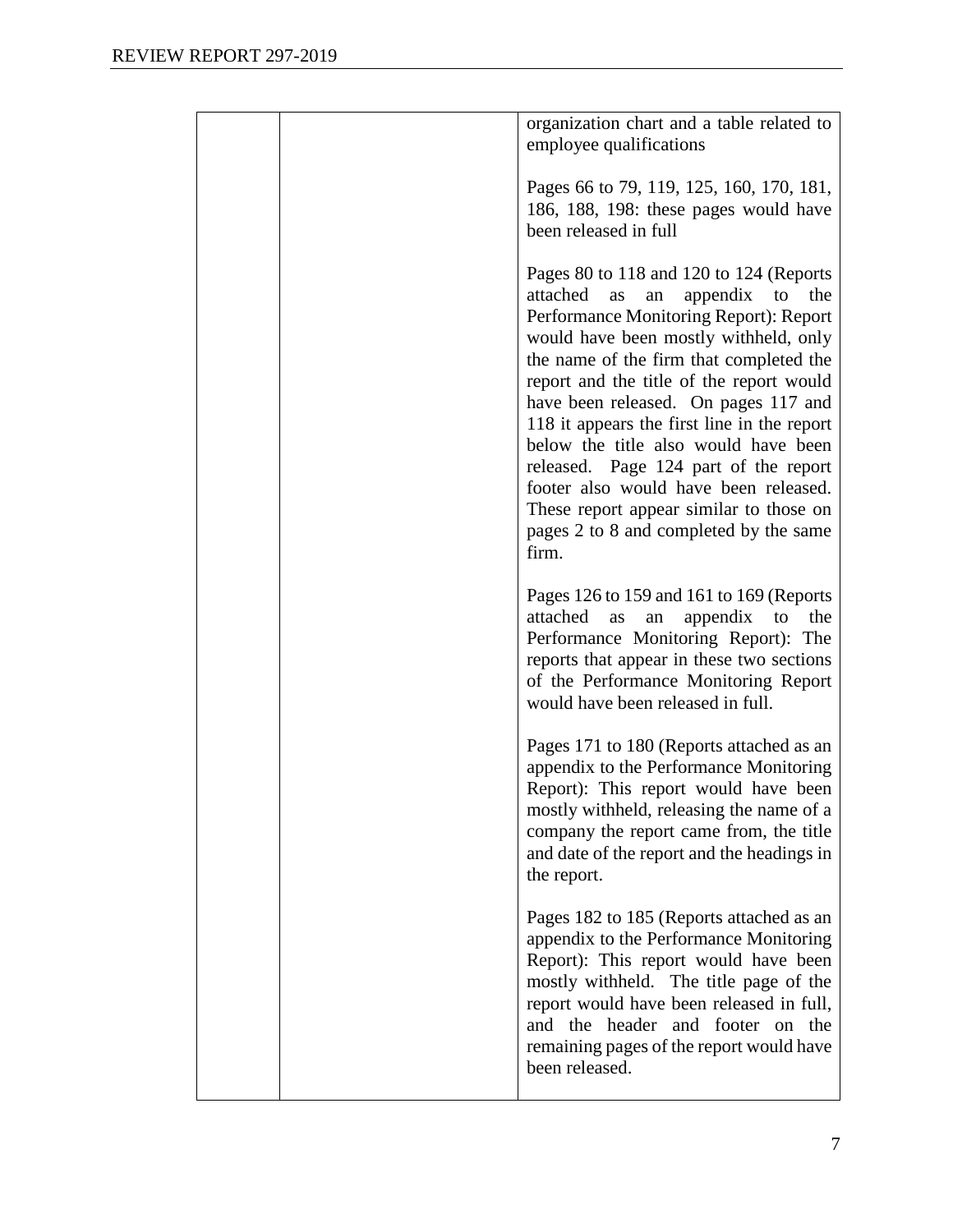| organization chart and a table related to<br>employee qualifications                                                                                                                                                                                                                                                                                                                                                                                                                                                                                                              |
|-----------------------------------------------------------------------------------------------------------------------------------------------------------------------------------------------------------------------------------------------------------------------------------------------------------------------------------------------------------------------------------------------------------------------------------------------------------------------------------------------------------------------------------------------------------------------------------|
| Pages 66 to 79, 119, 125, 160, 170, 181,<br>186, 188, 198: these pages would have<br>been released in full                                                                                                                                                                                                                                                                                                                                                                                                                                                                        |
| Pages 80 to 118 and 120 to 124 (Reports<br>attached<br>appendix<br>the<br>to<br>as<br>an<br>Performance Monitoring Report): Report<br>would have been mostly withheld, only<br>the name of the firm that completed the<br>report and the title of the report would<br>have been released. On pages 117 and<br>118 it appears the first line in the report<br>below the title also would have been<br>released. Page 124 part of the report<br>footer also would have been released.<br>These report appear similar to those on<br>pages 2 to 8 and completed by the same<br>firm. |
| Pages 126 to 159 and 161 to 169 (Reports<br>attached<br>appendix<br>the<br>as<br>an<br>to<br>Performance Monitoring Report): The<br>reports that appear in these two sections<br>of the Performance Monitoring Report<br>would have been released in full.                                                                                                                                                                                                                                                                                                                        |
| Pages 171 to 180 (Reports attached as an<br>appendix to the Performance Monitoring<br>Report): This report would have been<br>mostly withheld, releasing the name of a<br>company the report came from, the title<br>and date of the report and the headings in<br>the report.                                                                                                                                                                                                                                                                                                    |
| Pages 182 to 185 (Reports attached as an<br>appendix to the Performance Monitoring<br>Report): This report would have been<br>mostly withheld. The title page of the<br>report would have been released in full,<br>and the header and footer on the<br>remaining pages of the report would have<br>been released.                                                                                                                                                                                                                                                                |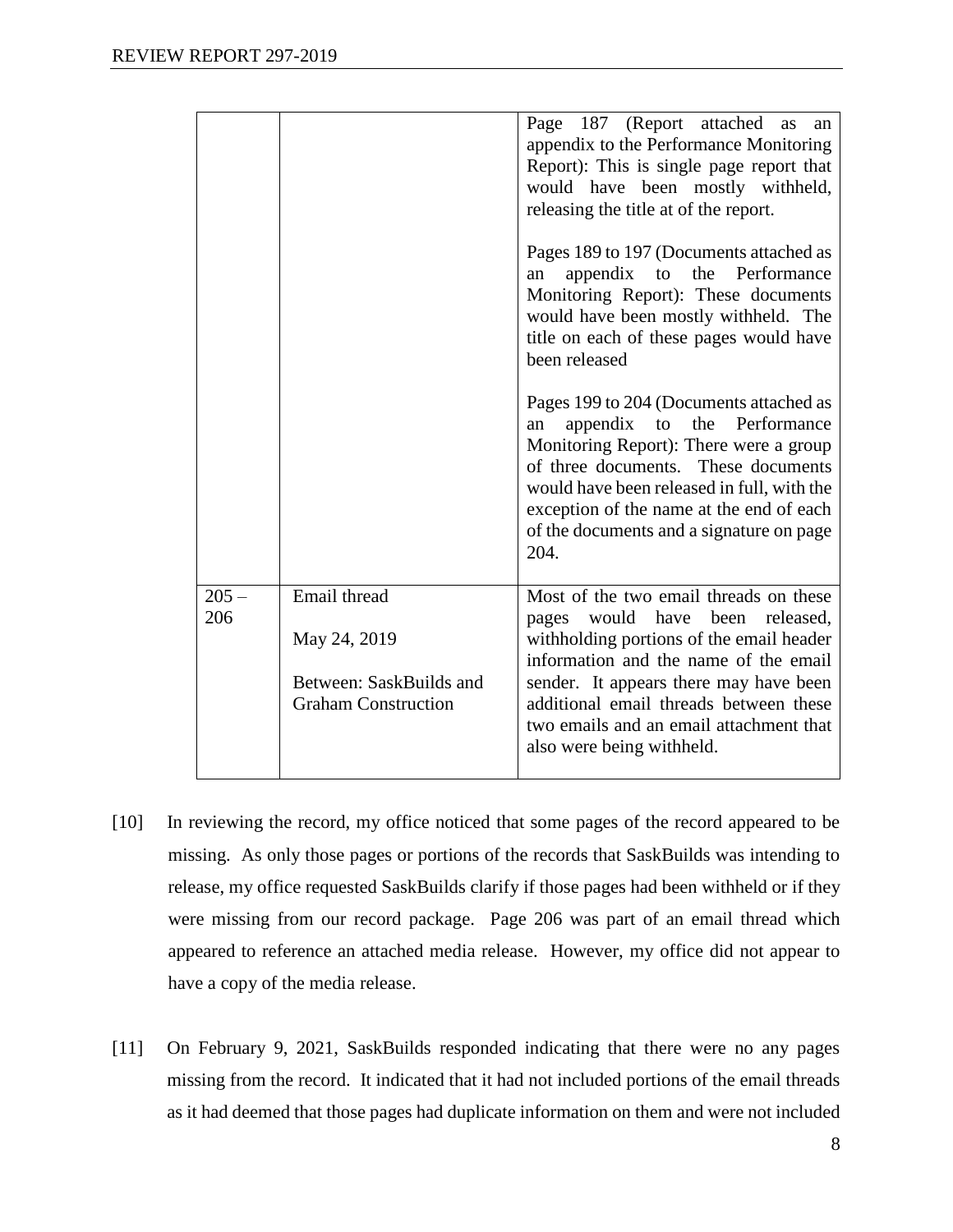|                |                                                                                       | Page 187 (Report attached as<br>an<br>appendix to the Performance Monitoring<br>Report): This is single page report that<br>would have been mostly withheld,<br>releasing the title at of the report.                                                                                                                               |
|----------------|---------------------------------------------------------------------------------------|-------------------------------------------------------------------------------------------------------------------------------------------------------------------------------------------------------------------------------------------------------------------------------------------------------------------------------------|
|                |                                                                                       | Pages 189 to 197 (Documents attached as<br>appendix to the Performance<br>an<br>Monitoring Report): These documents<br>would have been mostly withheld. The<br>title on each of these pages would have<br>been released                                                                                                             |
|                |                                                                                       | Pages 199 to 204 (Documents attached as<br>appendix to<br>the<br>Performance<br>an<br>Monitoring Report): There were a group<br>of three documents. These documents<br>would have been released in full, with the<br>exception of the name at the end of each<br>of the documents and a signature on page<br>204.                   |
| $205 -$<br>206 | Email thread<br>May 24, 2019<br>Between: SaskBuilds and<br><b>Graham Construction</b> | Most of the two email threads on these<br>would have<br>been<br>released,<br>pages<br>withholding portions of the email header<br>information and the name of the email<br>sender. It appears there may have been<br>additional email threads between these<br>two emails and an email attachment that<br>also were being withheld. |

- [10] In reviewing the record, my office noticed that some pages of the record appeared to be missing. As only those pages or portions of the records that SaskBuilds was intending to release, my office requested SaskBuilds clarify if those pages had been withheld or if they were missing from our record package. Page 206 was part of an email thread which appeared to reference an attached media release. However, my office did not appear to have a copy of the media release.
- [11] On February 9, 2021, SaskBuilds responded indicating that there were no any pages missing from the record. It indicated that it had not included portions of the email threads as it had deemed that those pages had duplicate information on them and were not included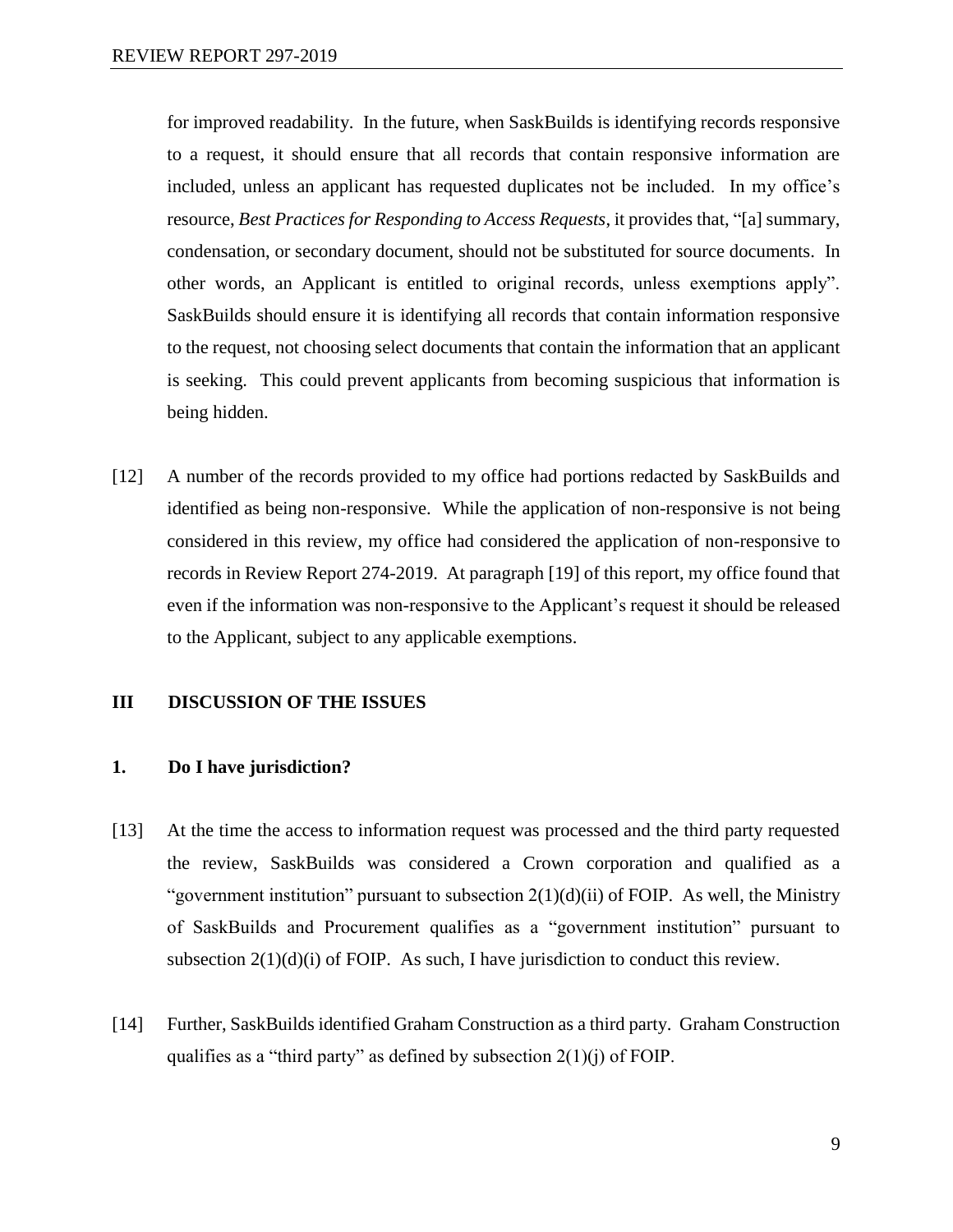for improved readability. In the future, when SaskBuilds is identifying records responsive to a request, it should ensure that all records that contain responsive information are included, unless an applicant has requested duplicates not be included. In my office's resource, *Best Practices for Responding to Access Requests*, it provides that, "[a] summary, condensation, or secondary document, should not be substituted for source documents. In other words, an Applicant is entitled to original records, unless exemptions apply". SaskBuilds should ensure it is identifying all records that contain information responsive to the request, not choosing select documents that contain the information that an applicant is seeking. This could prevent applicants from becoming suspicious that information is being hidden.

[12] A number of the records provided to my office had portions redacted by SaskBuilds and identified as being non-responsive. While the application of non-responsive is not being considered in this review, my office had considered the application of non-responsive to records in Review Report 274-2019. At paragraph [19] of this report, my office found that even if the information was non-responsive to the Applicant's request it should be released to the Applicant, subject to any applicable exemptions.

#### **III DISCUSSION OF THE ISSUES**

#### **1. Do I have jurisdiction?**

- [13] At the time the access to information request was processed and the third party requested the review, SaskBuilds was considered a Crown corporation and qualified as a "government institution" pursuant to subsection  $2(1)(d)(ii)$  of FOIP. As well, the Ministry of SaskBuilds and Procurement qualifies as a "government institution" pursuant to subsection  $2(1)(d)(i)$  of FOIP. As such, I have jurisdiction to conduct this review.
- [14] Further, SaskBuilds identified Graham Construction as a third party. Graham Construction qualifies as a "third party" as defined by subsection  $2(1)(i)$  of FOIP.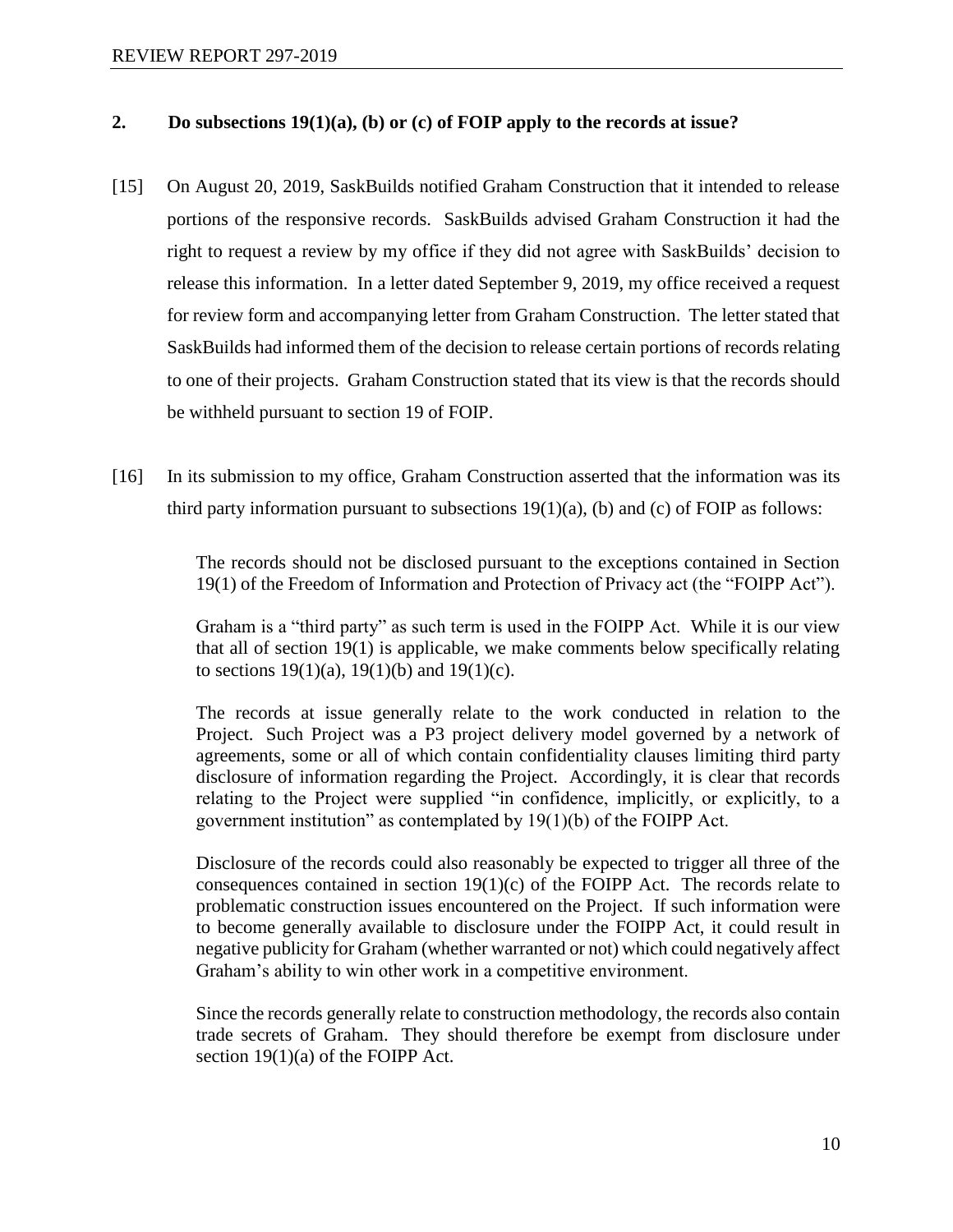#### **2. Do subsections 19(1)(a), (b) or (c) of FOIP apply to the records at issue?**

- [15] On August 20, 2019, SaskBuilds notified Graham Construction that it intended to release portions of the responsive records. SaskBuilds advised Graham Construction it had the right to request a review by my office if they did not agree with SaskBuilds' decision to release this information. In a letter dated September 9, 2019, my office received a request for review form and accompanying letter from Graham Construction. The letter stated that SaskBuilds had informed them of the decision to release certain portions of records relating to one of their projects. Graham Construction stated that its view is that the records should be withheld pursuant to section 19 of FOIP.
- [16] In its submission to my office, Graham Construction asserted that the information was its third party information pursuant to subsections  $19(1)(a)$ , (b) and (c) of FOIP as follows:

The records should not be disclosed pursuant to the exceptions contained in Section 19(1) of the Freedom of Information and Protection of Privacy act (the "FOIPP Act").

Graham is a "third party" as such term is used in the FOIPP Act. While it is our view that all of section 19(1) is applicable, we make comments below specifically relating to sections  $19(1)(a)$ ,  $19(1)(b)$  and  $19(1)(c)$ .

The records at issue generally relate to the work conducted in relation to the Project. Such Project was a P3 project delivery model governed by a network of agreements, some or all of which contain confidentiality clauses limiting third party disclosure of information regarding the Project. Accordingly, it is clear that records relating to the Project were supplied "in confidence, implicitly, or explicitly, to a government institution" as contemplated by 19(1)(b) of the FOIPP Act.

Disclosure of the records could also reasonably be expected to trigger all three of the consequences contained in section  $19(1)(c)$  of the FOIPP Act. The records relate to problematic construction issues encountered on the Project. If such information were to become generally available to disclosure under the FOIPP Act, it could result in negative publicity for Graham (whether warranted or not) which could negatively affect Graham's ability to win other work in a competitive environment.

Since the records generally relate to construction methodology, the records also contain trade secrets of Graham. They should therefore be exempt from disclosure under section 19(1)(a) of the FOIPP Act.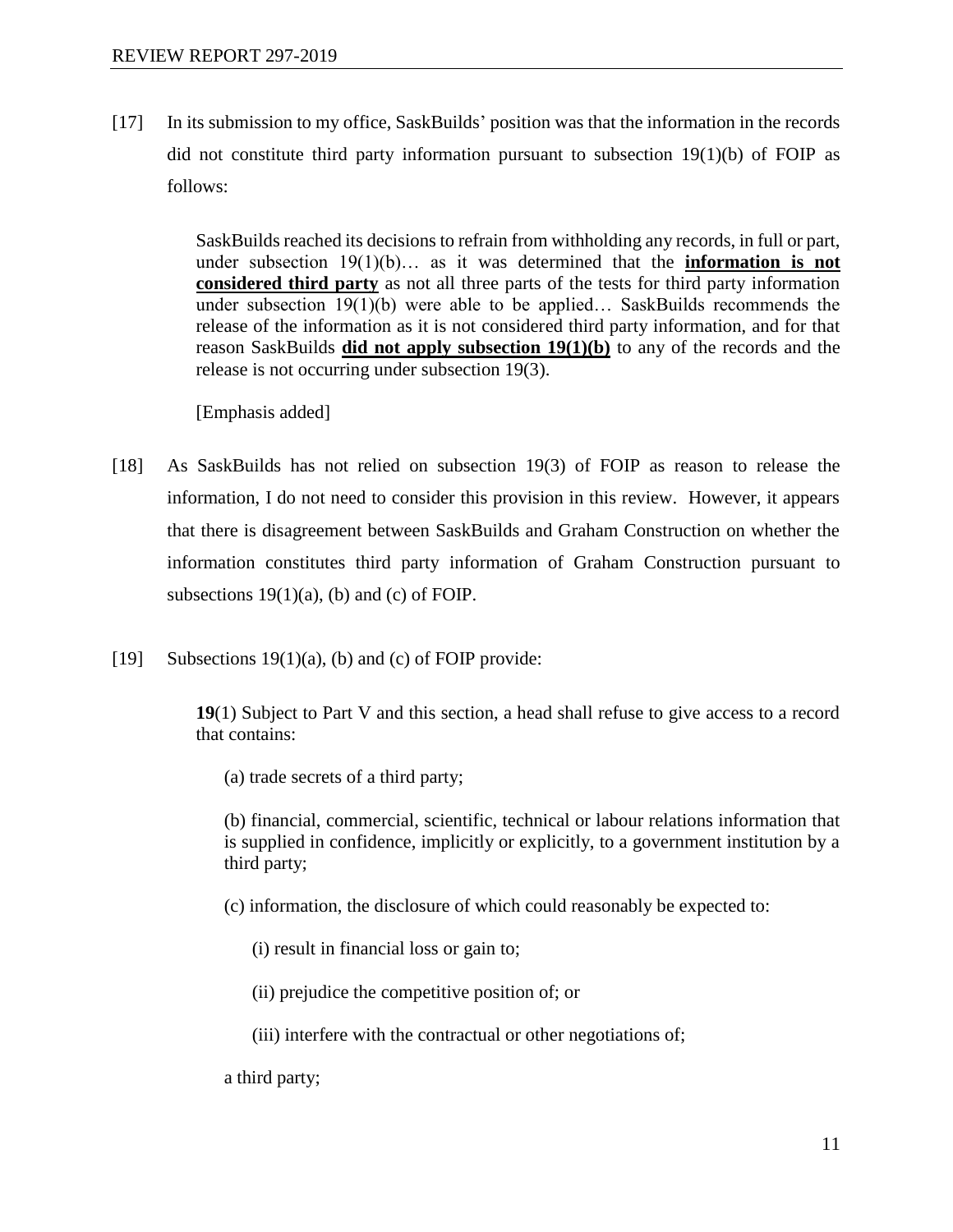[17] In its submission to my office, SaskBuilds' position was that the information in the records did not constitute third party information pursuant to subsection  $19(1)(b)$  of FOIP as follows:

> SaskBuilds reached its decisions to refrain from withholding any records, in full or part, under subsection 19(1)(b)... as it was determined that the **information is not considered third party** as not all three parts of the tests for third party information under subsection  $19(1)(b)$  were able to be applied... SaskBuilds recommends the release of the information as it is not considered third party information, and for that reason SaskBuilds **did not apply subsection 19(1)(b)** to any of the records and the release is not occurring under subsection 19(3).

[Emphasis added]

- [18] As SaskBuilds has not relied on subsection 19(3) of FOIP as reason to release the information, I do not need to consider this provision in this review. However, it appears that there is disagreement between SaskBuilds and Graham Construction on whether the information constitutes third party information of Graham Construction pursuant to subsections  $19(1)(a)$ , (b) and (c) of FOIP.
- [19] Subsections 19(1)(a), (b) and (c) of FOIP provide:

**19**(1) Subject to Part V and this section, a head shall refuse to give access to a record that contains:

(a) trade secrets of a third party;

(b) financial, commercial, scientific, technical or labour relations information that is supplied in confidence, implicitly or explicitly, to a government institution by a third party;

- (c) information, the disclosure of which could reasonably be expected to:
	- (i) result in financial loss or gain to;
	- (ii) prejudice the competitive position of; or
	- (iii) interfere with the contractual or other negotiations of;

a third party;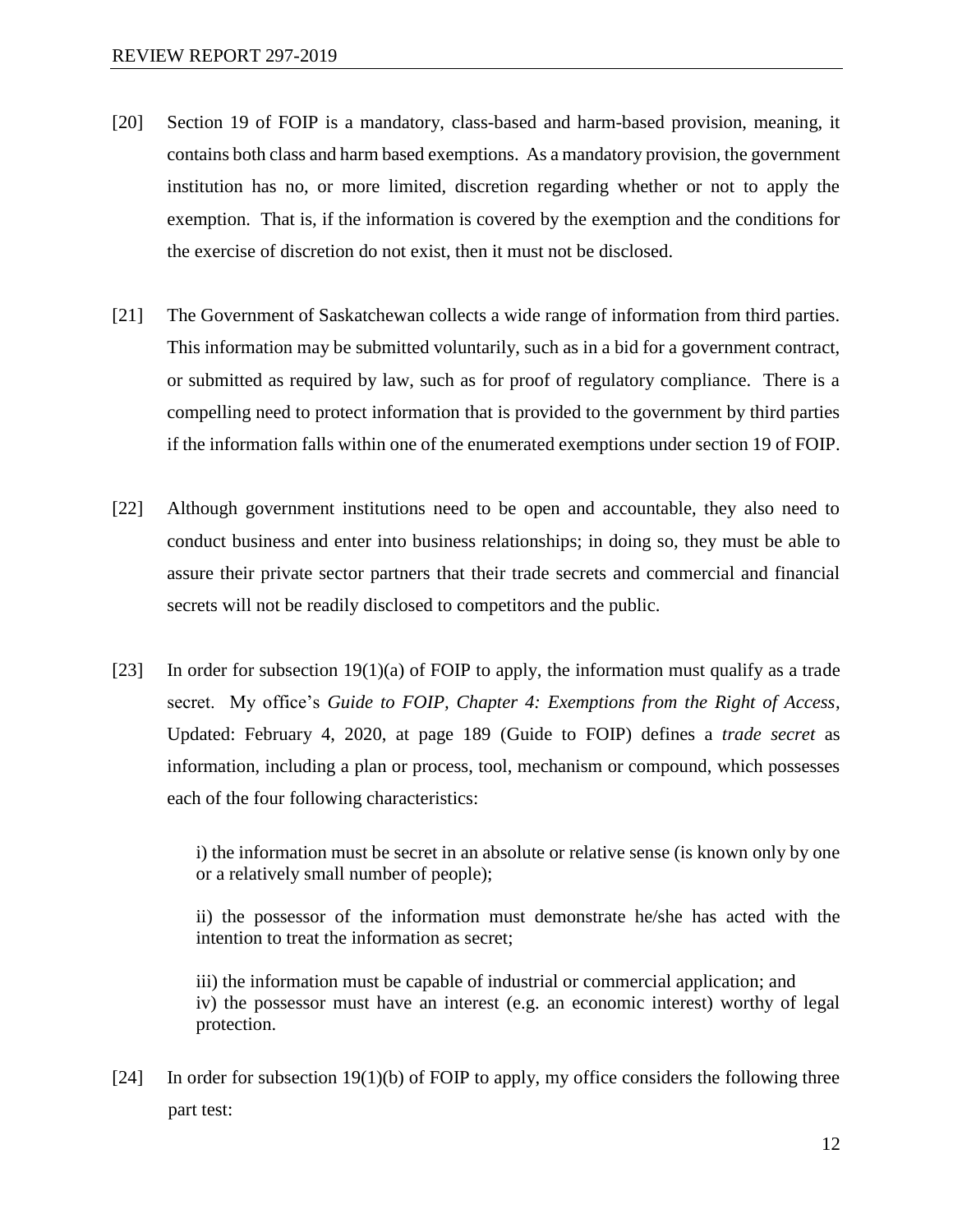- [20] Section 19 of FOIP is a mandatory, class-based and harm-based provision, meaning, it contains both class and harm based exemptions. As a mandatory provision, the government institution has no, or more limited, discretion regarding whether or not to apply the exemption. That is, if the information is covered by the exemption and the conditions for the exercise of discretion do not exist, then it must not be disclosed.
- [21] The Government of Saskatchewan collects a wide range of information from third parties. This information may be submitted voluntarily, such as in a bid for a government contract, or submitted as required by law, such as for proof of regulatory compliance. There is a compelling need to protect information that is provided to the government by third parties if the information falls within one of the enumerated exemptions under section 19 of FOIP.
- [22] Although government institutions need to be open and accountable, they also need to conduct business and enter into business relationships; in doing so, they must be able to assure their private sector partners that their trade secrets and commercial and financial secrets will not be readily disclosed to competitors and the public.
- [23] In order for subsection  $19(1)(a)$  of FOIP to apply, the information must qualify as a trade secret. My office's *Guide to FOIP, Chapter 4: Exemptions from the Right of Access*, Updated: February 4, 2020, at page 189 (Guide to FOIP) defines a *trade secret* as information, including a plan or process, tool, mechanism or compound, which possesses each of the four following characteristics:

i) the information must be secret in an absolute or relative sense (is known only by one or a relatively small number of people);

ii) the possessor of the information must demonstrate he/she has acted with the intention to treat the information as secret;

iii) the information must be capable of industrial or commercial application; and iv) the possessor must have an interest (e.g. an economic interest) worthy of legal protection.

[24] In order for subsection 19(1)(b) of FOIP to apply, my office considers the following three part test: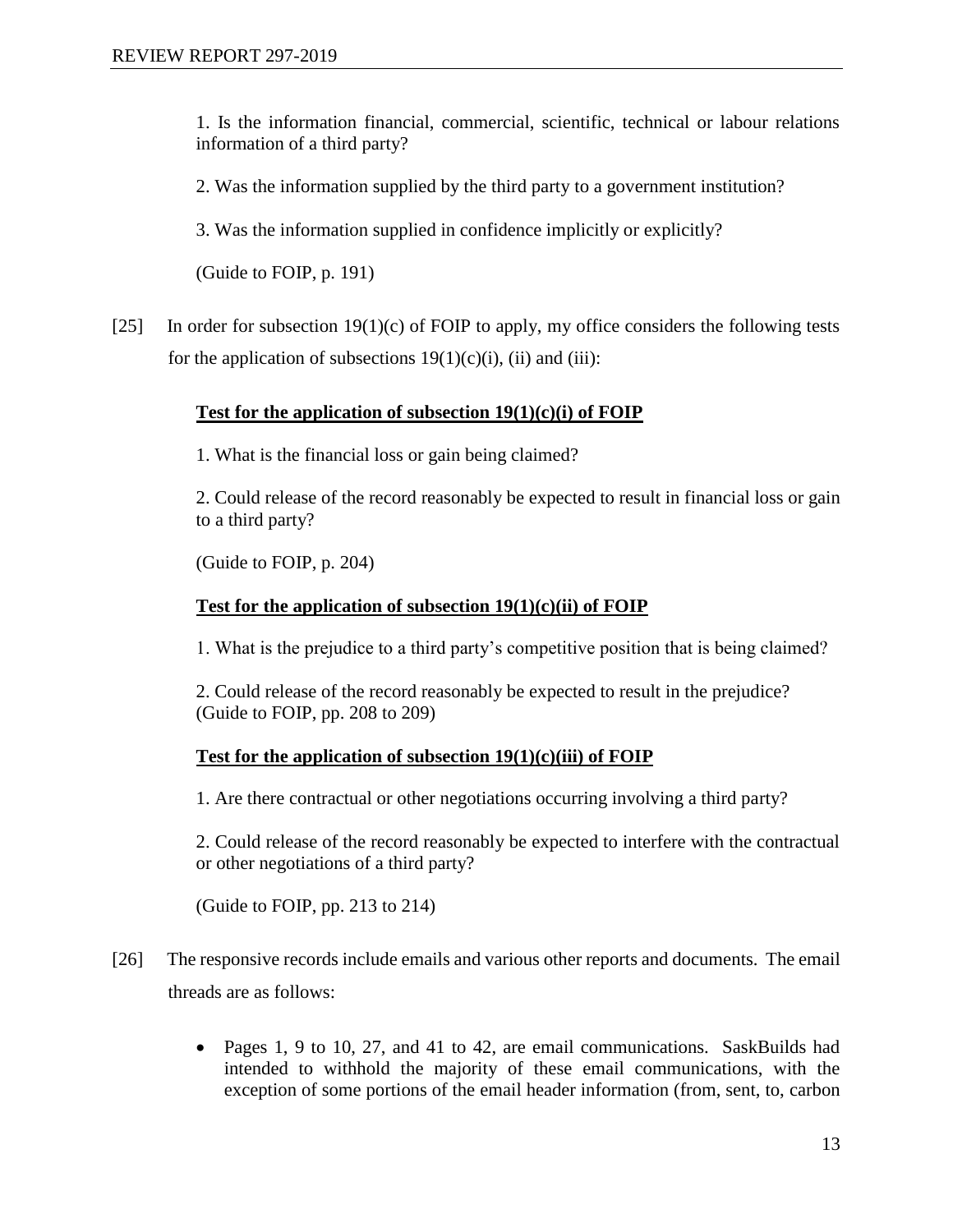1. Is the information financial, commercial, scientific, technical or labour relations information of a third party?

2. Was the information supplied by the third party to a government institution?

3. Was the information supplied in confidence implicitly or explicitly?

(Guide to FOIP, p. 191)

[25] In order for subsection  $19(1)(c)$  of FOIP to apply, my office considers the following tests for the application of subsections  $19(1)(c)(i)$ , (ii) and (iii):

# **Test for the application of subsection 19(1)(c)(i) of FOIP**

1. What is the financial loss or gain being claimed?

2. Could release of the record reasonably be expected to result in financial loss or gain to a third party?

(Guide to FOIP, p. 204)

# **Test for the application of subsection 19(1)(c)(ii) of FOIP**

1. What is the prejudice to a third party's competitive position that is being claimed?

2. Could release of the record reasonably be expected to result in the prejudice? (Guide to FOIP, pp. 208 to 209)

# **Test for the application of subsection 19(1)(c)(iii) of FOIP**

1. Are there contractual or other negotiations occurring involving a third party?

2. Could release of the record reasonably be expected to interfere with the contractual or other negotiations of a third party?

(Guide to FOIP, pp. 213 to 214)

- [26] The responsive records include emails and various other reports and documents. The email threads are as follows:
	- Pages 1, 9 to 10, 27, and 41 to 42, are email communications. SaskBuilds had intended to withhold the majority of these email communications, with the exception of some portions of the email header information (from, sent, to, carbon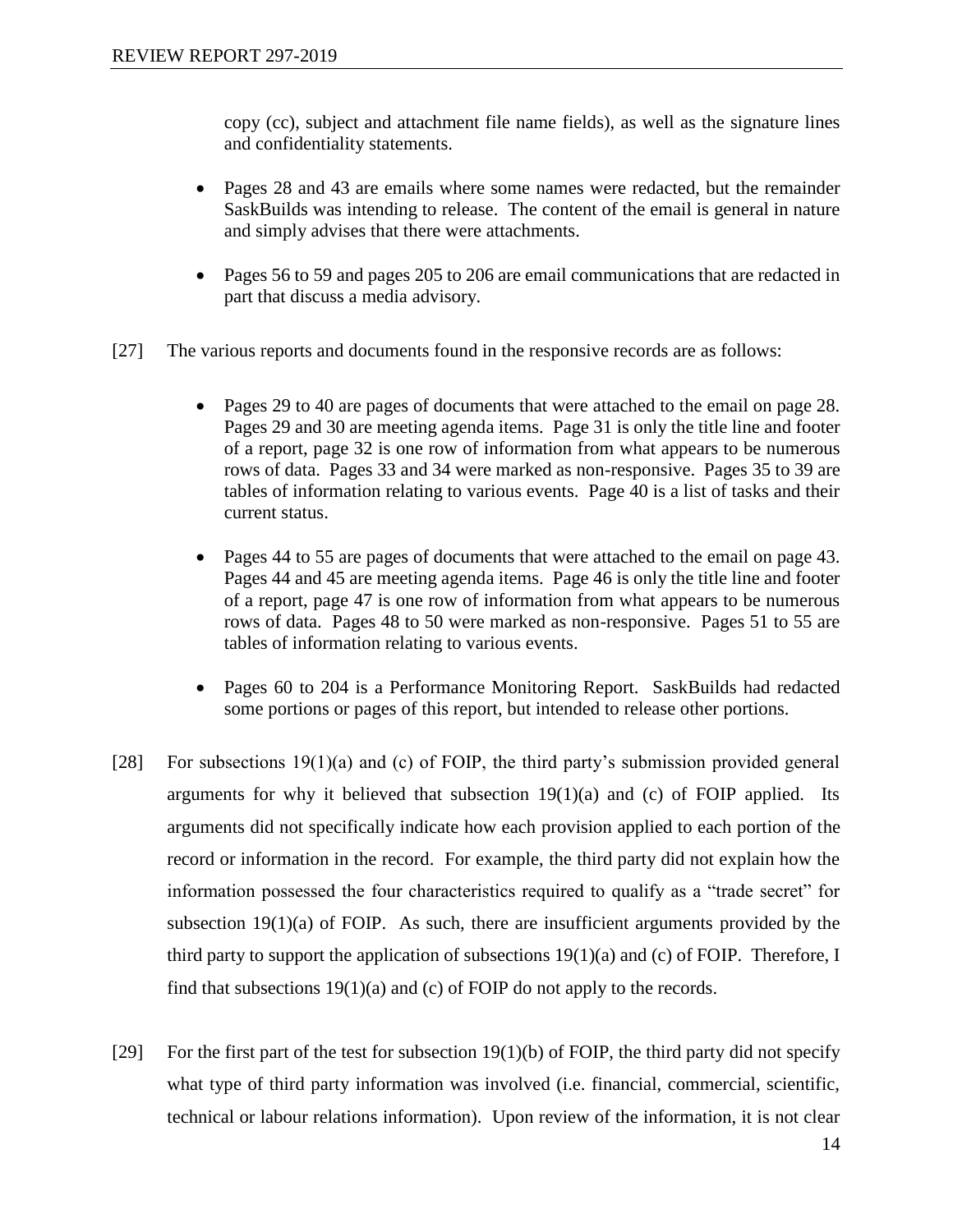copy (cc), subject and attachment file name fields), as well as the signature lines and confidentiality statements.

- Pages 28 and 43 are emails where some names were redacted, but the remainder SaskBuilds was intending to release. The content of the email is general in nature and simply advises that there were attachments.
- Pages 56 to 59 and pages 205 to 206 are email communications that are redacted in part that discuss a media advisory.
- [27] The various reports and documents found in the responsive records are as follows:
	- Pages 29 to 40 are pages of documents that were attached to the email on page 28. Pages 29 and 30 are meeting agenda items. Page 31 is only the title line and footer of a report, page 32 is one row of information from what appears to be numerous rows of data. Pages 33 and 34 were marked as non-responsive. Pages 35 to 39 are tables of information relating to various events. Page 40 is a list of tasks and their current status.
	- Pages 44 to 55 are pages of documents that were attached to the email on page 43. Pages 44 and 45 are meeting agenda items. Page 46 is only the title line and footer of a report, page 47 is one row of information from what appears to be numerous rows of data. Pages 48 to 50 were marked as non-responsive. Pages 51 to 55 are tables of information relating to various events.
	- Pages 60 to 204 is a Performance Monitoring Report. SaskBuilds had redacted some portions or pages of this report, but intended to release other portions.
- [28] For subsections  $19(1)(a)$  and (c) of FOIP, the third party's submission provided general arguments for why it believed that subsection  $19(1)(a)$  and (c) of FOIP applied. Its arguments did not specifically indicate how each provision applied to each portion of the record or information in the record. For example, the third party did not explain how the information possessed the four characteristics required to qualify as a "trade secret" for subsection  $19(1)(a)$  of FOIP. As such, there are insufficient arguments provided by the third party to support the application of subsections 19(1)(a) and (c) of FOIP. Therefore, I find that subsections 19(1)(a) and (c) of FOIP do not apply to the records.
- [29] For the first part of the test for subsection  $19(1)(b)$  of FOIP, the third party did not specify what type of third party information was involved (i.e. financial, commercial, scientific, technical or labour relations information). Upon review of the information, it is not clear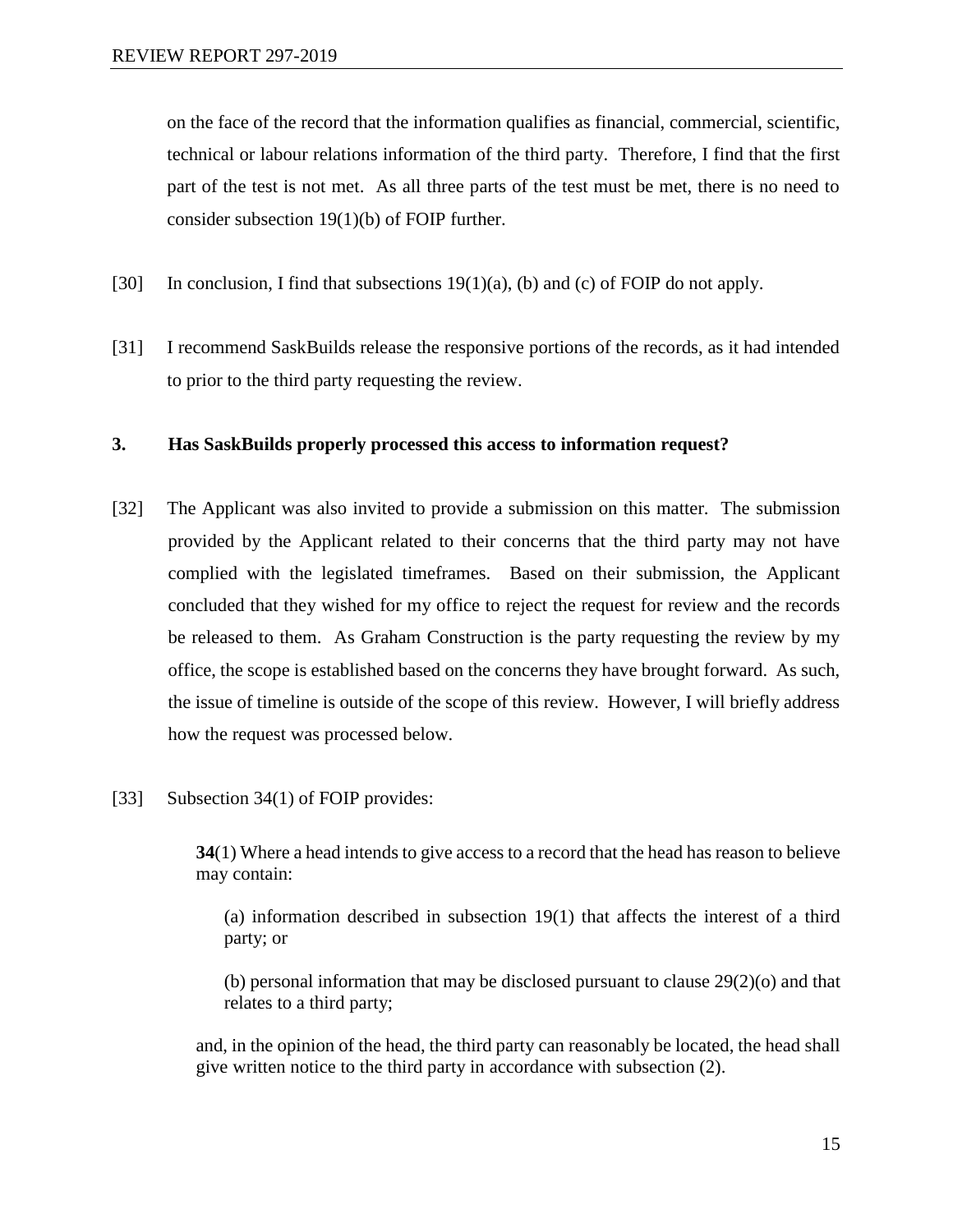on the face of the record that the information qualifies as financial, commercial, scientific, technical or labour relations information of the third party. Therefore, I find that the first part of the test is not met. As all three parts of the test must be met, there is no need to consider subsection 19(1)(b) of FOIP further.

- [30] In conclusion, I find that subsections  $19(1)(a)$ , (b) and (c) of FOIP do not apply.
- [31] I recommend SaskBuilds release the responsive portions of the records, as it had intended to prior to the third party requesting the review.

#### **3. Has SaskBuilds properly processed this access to information request?**

- [32] The Applicant was also invited to provide a submission on this matter. The submission provided by the Applicant related to their concerns that the third party may not have complied with the legislated timeframes. Based on their submission, the Applicant concluded that they wished for my office to reject the request for review and the records be released to them. As Graham Construction is the party requesting the review by my office, the scope is established based on the concerns they have brought forward. As such, the issue of timeline is outside of the scope of this review. However, I will briefly address how the request was processed below.
- [33] Subsection 34(1) of FOIP provides:

**34**(1) Where a head intends to give access to a record that the head has reason to believe may contain:

(a) information described in subsection 19(1) that affects the interest of a third party; or

(b) personal information that may be disclosed pursuant to clause  $29(2)(o)$  and that relates to a third party;

and, in the opinion of the head, the third party can reasonably be located, the head shall give written notice to the third party in accordance with subsection (2).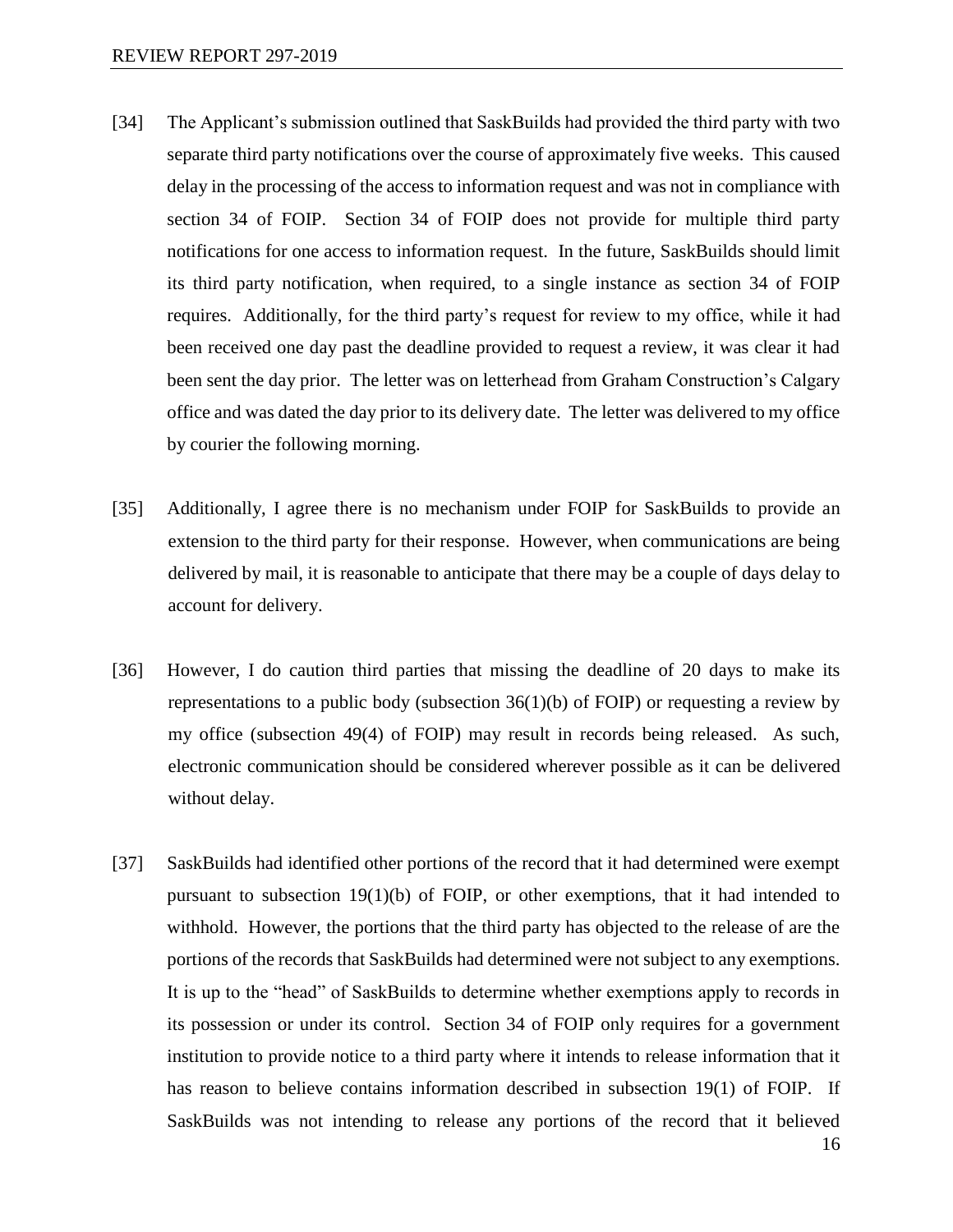- [34] The Applicant's submission outlined that SaskBuilds had provided the third party with two separate third party notifications over the course of approximately five weeks. This caused delay in the processing of the access to information request and was not in compliance with section 34 of FOIP. Section 34 of FOIP does not provide for multiple third party notifications for one access to information request. In the future, SaskBuilds should limit its third party notification, when required, to a single instance as section 34 of FOIP requires. Additionally, for the third party's request for review to my office, while it had been received one day past the deadline provided to request a review, it was clear it had been sent the day prior. The letter was on letterhead from Graham Construction's Calgary office and was dated the day prior to its delivery date. The letter was delivered to my office by courier the following morning.
- [35] Additionally, I agree there is no mechanism under FOIP for SaskBuilds to provide an extension to the third party for their response. However, when communications are being delivered by mail, it is reasonable to anticipate that there may be a couple of days delay to account for delivery.
- [36] However, I do caution third parties that missing the deadline of 20 days to make its representations to a public body (subsection  $36(1)(b)$  of FOIP) or requesting a review by my office (subsection 49(4) of FOIP) may result in records being released. As such, electronic communication should be considered wherever possible as it can be delivered without delay.
- [37] SaskBuilds had identified other portions of the record that it had determined were exempt pursuant to subsection 19(1)(b) of FOIP, or other exemptions, that it had intended to withhold. However, the portions that the third party has objected to the release of are the portions of the records that SaskBuilds had determined were not subject to any exemptions. It is up to the "head" of SaskBuilds to determine whether exemptions apply to records in its possession or under its control. Section 34 of FOIP only requires for a government institution to provide notice to a third party where it intends to release information that it has reason to believe contains information described in subsection 19(1) of FOIP. If SaskBuilds was not intending to release any portions of the record that it believed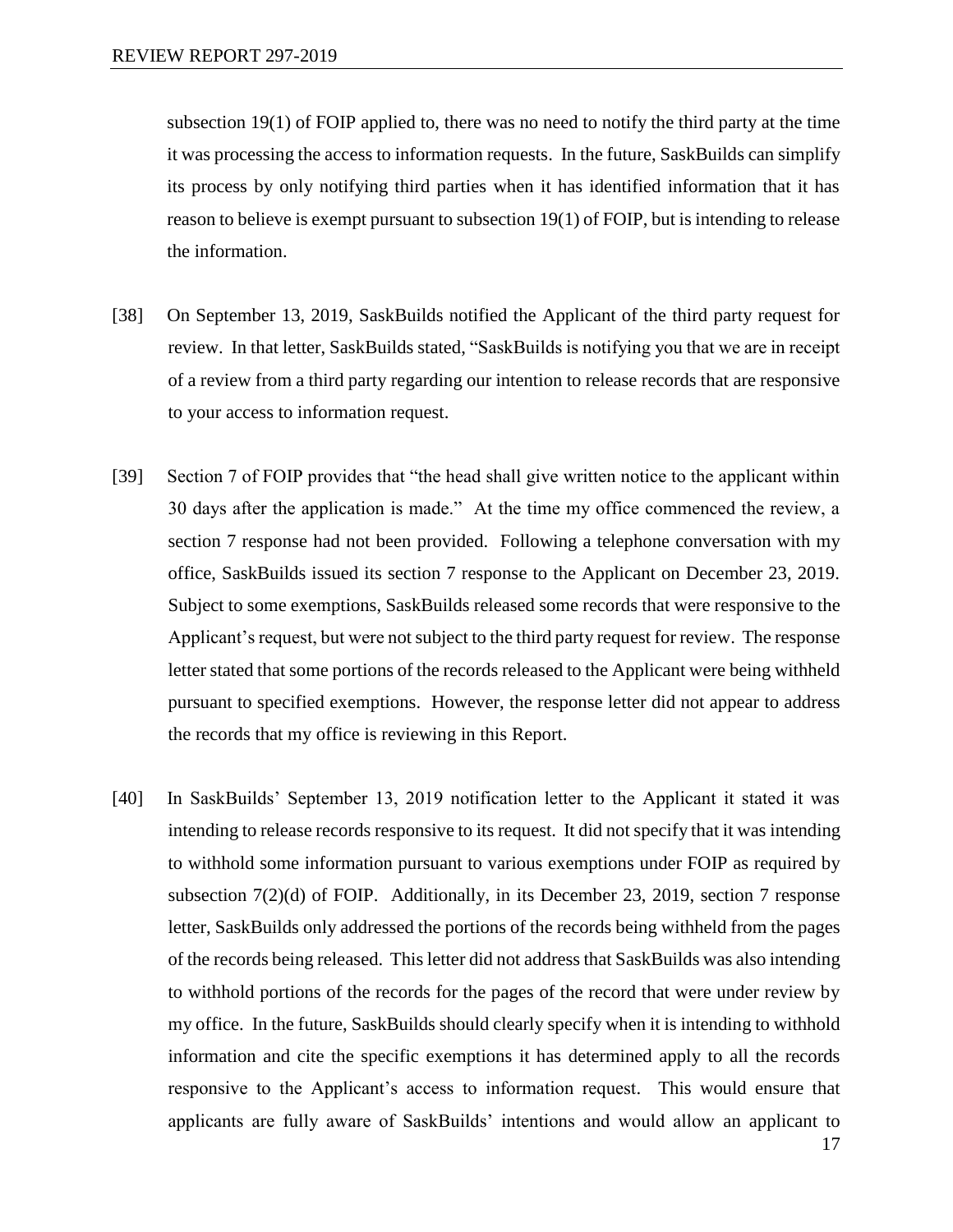subsection 19(1) of FOIP applied to, there was no need to notify the third party at the time it was processing the access to information requests. In the future, SaskBuilds can simplify its process by only notifying third parties when it has identified information that it has reason to believe is exempt pursuant to subsection 19(1) of FOIP, but is intending to release the information.

- [38] On September 13, 2019, SaskBuilds notified the Applicant of the third party request for review. In that letter, SaskBuilds stated, "SaskBuilds is notifying you that we are in receipt of a review from a third party regarding our intention to release records that are responsive to your access to information request.
- [39] Section 7 of FOIP provides that "the head shall give written notice to the applicant within 30 days after the application is made." At the time my office commenced the review, a section 7 response had not been provided. Following a telephone conversation with my office, SaskBuilds issued its section 7 response to the Applicant on December 23, 2019. Subject to some exemptions, SaskBuilds released some records that were responsive to the Applicant's request, but were not subject to the third party request for review. The response letter stated that some portions of the records released to the Applicant were being withheld pursuant to specified exemptions. However, the response letter did not appear to address the records that my office is reviewing in this Report.
- [40] In SaskBuilds' September 13, 2019 notification letter to the Applicant it stated it was intending to release records responsive to its request. It did not specify that it was intending to withhold some information pursuant to various exemptions under FOIP as required by subsection 7(2)(d) of FOIP. Additionally, in its December 23, 2019, section 7 response letter, SaskBuilds only addressed the portions of the records being withheld from the pages of the records being released. This letter did not address that SaskBuilds was also intending to withhold portions of the records for the pages of the record that were under review by my office. In the future, SaskBuilds should clearly specify when it is intending to withhold information and cite the specific exemptions it has determined apply to all the records responsive to the Applicant's access to information request. This would ensure that applicants are fully aware of SaskBuilds' intentions and would allow an applicant to